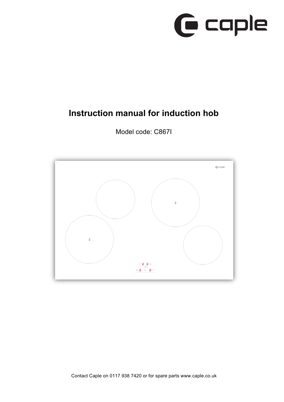

# **Instruction manual for induction hob**



Model code: C867I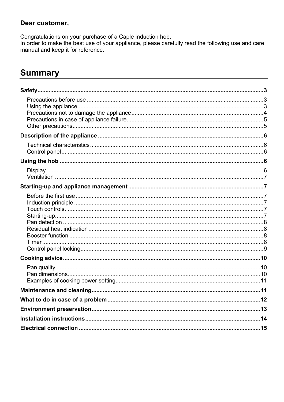#### Dear customer,

Congratulations on your purchase of a Caple induction hob.

In order to make the best use of your appliance, please carefully read the following use and care manual and keep it for reference.

# **Summary**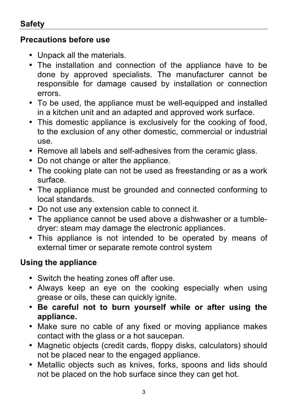# **Safety**

# **Precautions before use**

- Unpack all the materials.
- The installation and connection of the appliance have to be done by approved specialists. The manufacturer cannot be responsible for damage caused by installation or connection errors.
- To be used, the appliance must be well-equipped and installed in a kitchen unit and an adapted and approved work surface.
- This domestic appliance is exclusively for the cooking of food, to the exclusion of any other domestic, commercial or industrial use.
- Remove all labels and self-adhesives from the ceramic glass.
- Do not change or alter the appliance.
- The cooking plate can not be used as freestanding or as a work surface.
- The appliance must be grounded and connected conforming to local standards.
- Do not use any extension cable to connect it.
- The appliance cannot be used above a dishwasher or a tumbledryer: steam may damage the electronic appliances.
- This appliance is not intended to be operated by means of external timer or separate remote control system

# **Using the appliance**

- Switch the heating zones off after use.
- Always keep an eye on the cooking especially when using grease or oils, these can quickly ignite.
- **Be careful not to burn yourself while or after using the appliance.**
- Make sure no cable of any fixed or moving appliance makes contact with the glass or a hot saucepan.
- Magnetic objects (credit cards, floppy disks, calculators) should not be placed near to the engaged appliance.
- Metallic objects such as knives, forks, spoons and lids should not be placed on the hob surface since they can get hot.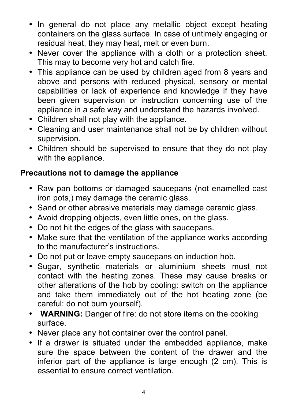- In general do not place any metallic object except heating containers on the glass surface. In case of untimely engaging or residual heat, they may heat, melt or even burn.
- Never cover the appliance with a cloth or a protection sheet. This may to become very hot and catch fire.
- This appliance can be used by children aged from 8 years and above and persons with reduced physical, sensory or mental capabilities or lack of experience and knowledge if they have been given supervision or instruction concerning use of the appliance in a safe way and understand the hazards involved.
- Children shall not play with the appliance.
- Cleaning and user maintenance shall not be by children without supervision.
- Children should be supervised to ensure that they do not play with the appliance.

# **Precautions not to damage the appliance**

- Raw pan bottoms or damaged saucepans (not enamelled cast iron pots,) may damage the ceramic glass.
- Sand or other abrasive materials may damage ceramic glass.
- Avoid dropping objects, even little ones, on the glass.
- Do not hit the edges of the glass with saucepans.
- Make sure that the ventilation of the appliance works according to the manufacturer's instructions.
- Do not put or leave empty saucepans on induction hob.
- Sugar, synthetic materials or aluminium sheets must not contact with the heating zones. These may cause breaks or other alterations of the hob by cooling: switch on the appliance and take them immediately out of the hot heating zone (be careful: do not burn yourself).
- **WARNING:** Danger of fire: do not store items on the cooking surface.
- Never place any hot container over the control panel.
- If a drawer is situated under the embedded appliance, make sure the space between the content of the drawer and the inferior part of the appliance is large enough (2 cm). This is essential to ensure correct ventilation.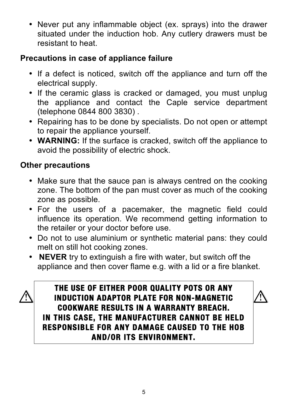• Never put any inflammable object (ex. sprays) into the drawer situated under the induction hob. Any cutlery drawers must be resistant to heat.

# **Precautions in case of appliance failure**

- If a defect is noticed, switch off the appliance and turn off the electrical supply.
- If the ceramic glass is cracked or damaged, you must unplug the appliance and contact the Caple service department (telephone 0844 800 3830) .
- Repairing has to be done by specialists. Do not open or attempt to repair the appliance yourself.
- **WARNING:** If the surface is cracked, switch off the appliance to avoid the possibility of electric shock.

# **Other precautions**

- Make sure that the sauce pan is always centred on the cooking zone. The bottom of the pan must cover as much of the cooking zone as possible.
- For the users of a pacemaker, the magnetic field could influence its operation. We recommend getting information to the retailer or your doctor before use.
- Do not to use aluminium or synthetic material pans: they could melt on still hot cooking zones.
- • **NEVER** try to extinguish a fire with water, but switch off the appliance and then cover flame e.g. with a lid or a fire blanket.



**THE USE OF EITHER POOR QUALITY POTS OR ANY INDUCTION ADAPTOR PLATE FOR NON-MAGNETIC COOKWARE RESULTS IN A WARRANTY BREACH. IN THIS CASE, THE MANUFACTURER CANNOT BE HELD RESPONSIBLE FOR ANY DAMAGE CAUSED TO THE HOB AND/OR ITS ENVIRONMENT.**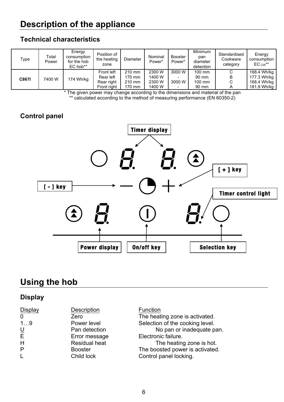# **Description of the appliance**

#### **Technical characteristics**

| Type  | Total<br>Power | Energy<br>consumption<br>for the hob<br>EC hob** | Position of<br>the heating<br>zone                   | <b>Diameter</b>                      | Nominal<br>Power*                    | <b>Booster</b><br>Power* | <b>Minimum</b><br>pan<br>diameter<br>detection | Standardised<br>Cookware<br>category | Energy<br>consumption<br>$\mathsf{EC}_\mathsf{CW}^{\boldsymbol{*}\boldsymbol{*}}$ |
|-------|----------------|--------------------------------------------------|------------------------------------------------------|--------------------------------------|--------------------------------------|--------------------------|------------------------------------------------|--------------------------------------|-----------------------------------------------------------------------------------|
| C8671 | 7400 W         | 174 Wh/kg                                        | Front left<br>Rear left<br>Rear right<br>Front right | 210 mm<br>170 mm<br>210 mm<br>170 mm | 2300 W<br>1400 W<br>2300 W<br>1400 W | 3000 W<br>3000 W         | $100$ mm<br>90 mm<br>100 mm<br>90 mm           | С<br>B<br>С<br>А                     | 168.4 Wh/kg<br>177.3 Wh/kg<br>168.4 Wh/kg<br>181.9 Wh/kg                          |

\* The given power may change according to the dimensions and material of the pan \*\* calculated according to the method of measuring performance (EN 60350-2)

### **Control panel**



# **Using the hob**

#### **Display**

| Description          | Function                        |
|----------------------|---------------------------------|
| Zero                 | The heating zone is activated.  |
| Power level          | Selection of the cooking level. |
| Pan detection        | No pan or inadequate pan.       |
| Error message        | Electronic failure.             |
| <b>Residual heat</b> | The heating zone is hot.        |
| <b>Booster</b>       | The boosted power is activated. |
| Child lock           | Control panel locking.          |
|                      |                                 |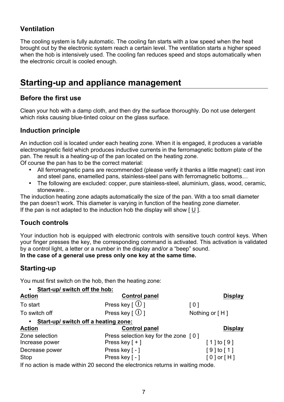#### **Ventilation**

The cooling system is fully automatic. The cooling fan starts with a low speed when the heat brought out by the electronic system reach a certain level. The ventilation starts a higher speed when the hob is intensively used. The cooling fan reduces speed and stops automatically when the electronic circuit is cooled enough.

## **Starting-up and appliance management**

#### **Before the first use**

Clean your hob with a damp cloth, and then dry the surface thoroughly. Do not use detergent which risks causing blue-tinted colour on the glass surface.

#### **Induction principle**

An induction coil is located under each heating zone. When it is engaged, it produces a variable electromagnetic field which produces inductive currents in the ferromagnetic bottom plate of the pan. The result is a heating-up of the pan located on the heating zone.

Of course the pan has to be the correct material:

- All ferromagnetic pans are recommended (please verify it thanks a little magnet): cast iron and steel pans, enamelled pans, stainless-steel pans with ferromagnetic bottoms…
- The following are excluded: copper, pure stainless-steel, aluminium, glass, wood, ceramic, stoneware…

The induction heating zone adapts automatically the size of the pan. With a too small diameter the pan doesn't work. This diameter is varying in function of the heating zone diameter. If the pan is not adapted to the induction hob the display will show  $[U]$ .

#### **Touch controls**

Your induction hob is equipped with electronic controls with sensitive touch control keys. When your finger presses the key, the corresponding command is activated. This activation is validated by a control light, a letter or a number in the display and/or a "beep" sound. **In the case of a general use press only one key at the same time.**

#### **Starting-up**

You must first switch on the hob, then the heating zone:

| Start-up/ switch off the hob:<br>$\bullet$        |                                      |                  |
|---------------------------------------------------|--------------------------------------|------------------|
| <b>Action</b>                                     | <b>Control panel</b>                 | <b>Display</b>   |
| To start                                          | Press key $\lceil \bigcirc \rceil$   | [0]              |
| To switch off                                     | Press key $\lceil \bigcirc \rceil$   | Nothing or $[H]$ |
| Start-up/ switch off a heating zone:<br>$\bullet$ |                                      |                  |
| <b>Action</b>                                     | <b>Control panel</b>                 | <b>Display</b>   |
| Zone selection                                    | Press selection key for the zone [0] |                  |
| Increase power                                    | Press key $[ + ]$                    | $[1]$ to $[9]$   |
| Decrease power                                    | Press key $\lceil - \rceil$          | $[9]$ to $[1]$   |
| Stop                                              | Press key [ - ]                      | $[0]$ or $[H]$   |

If no action is made within 20 second the electronics returns in waiting mode.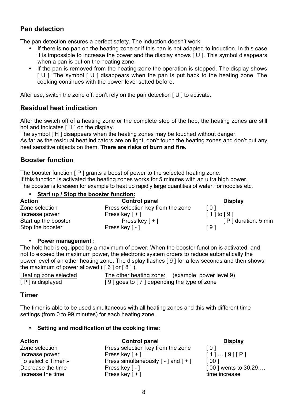#### **Pan detection**

The pan detection ensures a perfect safety. The induction doesn't work:

- If there is no pan on the heating zone or if this pan is not adapted to induction. In this case it is impossible to increase the power and the display shows [ U ]. This symbol disappears when a pan is put on the heating zone.
- If the pan is removed from the heating zone the operation is stopped. The display shows [ U ]. The symbol [ U ] disappears when the pan is put back to the heating zone. The cooking continues with the power level setted before.

After use, switch the zone off: don't rely on the pan detection [ U ] to activate.

#### **Residual heat indication**

After the switch off of a heating zone or the complete stop of the hob, the heating zones are still hot and indicates [H ] on the display.

The symbol [ H ] disappears when the heating zones may be touched without danger.

As far as the residual heat indicators are on light, don't touch the heating zones and don't put any heat sensitive objects on them. **There are risks of burn and fire.**

#### **Booster function**

The booster function [P] grants a boost of power to the selected heating zone. If this function is activated the heating zones works for 5 minutes with an ultra high power. The booster is foreseen for example to heat up rapidly large quantities of water, for noodles etc.

#### • **Start up / Stop the booster function:**

| <b>Action</b>        | <b>Control panel</b>              | <b>Display</b>      |
|----------------------|-----------------------------------|---------------------|
| Zone selection       | Press selection key from the zone | [0]                 |
| Increase power       | Press key $\lceil + \rceil$       | $[1]$ to $[9]$      |
| Start up the booster | Press key $\lceil + \rceil$       | [P] duration: 5 min |
| Stop the booster     | Press key [ - ]                   | [9]                 |

#### • **Power management :**

The hole hob is equipped by a maximum of power. When the booster function is activated, and not to exceed the maximum power, the electronic system orders to reduce automatically the power level of an other heating zone. The display flashes [ 9 ] for a few seconds and then shows the maximum of power allowed ( $\lceil 6 \rceil$  or  $\lceil 8 \rceil$ ).

Heating zone selected The other heating zone: (example: power level 9) [ P ] is displayed [ 9 ] goes to [ 7 ] depending the type of zone

#### **Timer**

The timer is able to be used simultaneous with all heating zones and this with different time settings (from 0 to 99 minutes) for each heating zone.

#### • **Setting and modification of the cooking time:**

| <b>Action</b>       | <b>Control panel</b>                                         | <b>Display</b>      |
|---------------------|--------------------------------------------------------------|---------------------|
| Zone selection      | Press selection key from the zone                            | $\lceil 0 \rceil$   |
| Increase power      | Press key $[+]$                                              | $[1]$ $[9] [P]$     |
| To select « Timer » | Press simultaneously $\lceil - \rceil$ and $\lceil + \rceil$ | [001]               |
| Decrease the time   | Press key [ - ]                                              | [00] wents to 30,29 |
| Increase the time   | Press key $\lceil + \rceil$                                  | time increase       |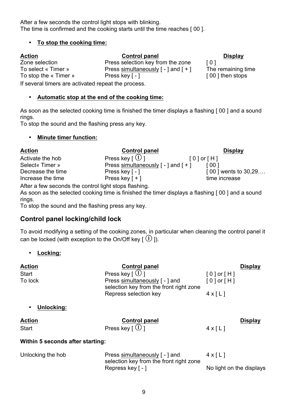After a few seconds the control light stops with blinking. The time is confirmed and the cooking starts until the time reaches [ 00 ].

#### • **To stop the cooking time:**

#### **Action Control panel Display** Zone selection **Press selection key from the zone** [ 0 ]

To select « Timer » Press simultaneously [ - ] and [ + ] The remaining time To stop the « Timer » Press key [ - ] [ 00 ] then stops

If several timers are activated repeat the process.

#### • **Automatic stop at the end of the cooking time:**

As soon as the selected cooking time is finished the timer displays a flashing [ 00 ] and a sound rings.

To stop the sound and the flashing press any key.

#### • **Minute timer function:**



After a few seconds the control light stops flashing.

As soon as the selected cooking time is finished the timer displays a flashing [ 00 ] and a sound rings.

To stop the sound and the flashing press any key.

#### **Control panel locking/child lock**

To avoid modifying a setting of the cooking zones, in particular when cleaning the control panel it can be locked (with exception to the On/Off key  $[$   $\overline{0}$  ).

#### • **Locking:**

| Action                           | <b>Control panel</b>                                                      |                            | <b>Display</b> |
|----------------------------------|---------------------------------------------------------------------------|----------------------------|----------------|
| Start                            | Press key $\lceil \bigcup \rceil$                                         | [0] or [H]                 |                |
| To lock                          | Press simultaneously [ - ] and<br>selection key from the front right zone | $[0]$ or $[H]$             |                |
|                                  | Repress selection key                                                     | $4 \times 11$              |                |
| Unlocking:                       |                                                                           |                            |                |
| Action                           | <b>Control panel</b>                                                      |                            | <b>Display</b> |
| Start                            | Press key $\lceil \bigcup \rceil$                                         | $4 \times \lceil L \rceil$ |                |
| Within 5 seconds after starting: |                                                                           |                            |                |
| Unlocking the hob                | Press simultaneously [ - ] and<br>selection key from the front right zone | $4 \times \lceil L \rceil$ |                |
|                                  | Repress key [ - ]                                                         | No light on the displays   |                |
|                                  |                                                                           |                            |                |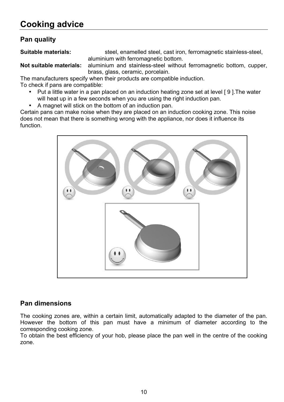#### **Pan quality**

**Suitable materials:** steel, enamelled steel, cast iron, ferromagnetic stainless-steel, aluminium with ferromagnetic bottom.

**Not suitable materials:** aluminium and stainless-steel without ferromagnetic bottom, cupper, brass, glass, ceramic, porcelain.

The manufacturers specify when their products are compatible induction. To check if pans are compatible:

- Put a little water in a pan placed on an induction heating zone set at level [ 9 ].The water will heat up in a few seconds when you are using the right induction pan.
- A magnet will stick on the bottom of an induction pan.

Certain pans can make noise when they are placed on an induction cooking zone. This noise does not mean that there is something wrong with the appliance, nor does it influence its function.



#### **Pan dimensions**

The cooking zones are, within a certain limit, automatically adapted to the diameter of the pan. However the bottom of this pan must have a minimum of diameter according to the corresponding cooking zone.

To obtain the best efficiency of your hob, please place the pan well in the centre of the cooking zone.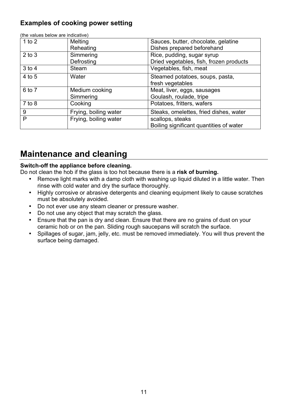#### **Examples of cooking power setting**

| $1$ to $2$ | Melting               | Sauces, butter, chocolate, gelatine     |
|------------|-----------------------|-----------------------------------------|
|            | Reheating             | Dishes prepared beforehand              |
| $2$ to $3$ | Simmering             | Rice, pudding, sugar syrup              |
|            | Defrosting            | Dried vegetables, fish, frozen products |
| $3$ to $4$ | <b>Steam</b>          | Vegetables, fish, meat                  |
| 4 to 5     | Water                 | Steamed potatoes, soups, pasta,         |
|            |                       | fresh vegetables                        |
| 6 to 7     | Medium cooking        | Meat, liver, eggs, sausages             |
|            | Simmering             | Goulash, roulade, tripe                 |
| $7$ to $8$ | Cooking               | Potatoes, fritters, wafers              |
| 9          | Frying, boiling water | Steaks, omelettes, fried dishes, water  |
| P          | Frying, boiling water | scallops, steaks                        |
|            |                       | Boiling significant quantities of water |

(the values below are indicative)

# **Maintenance and cleaning**

#### **Switch-off the appliance before cleaning.**

Do not clean the hob if the glass is too hot because there is a **risk of burning.**

- Remove light marks with a damp cloth with washing up liquid diluted in a little water. Then rinse with cold water and dry the surface thoroughly.
- Highly corrosive or abrasive detergents and cleaning equipment likely to cause scratches must be absolutely avoided.
- Do not ever use any steam cleaner or pressure washer.
- Do not use any object that may scratch the glass.
- Ensure that the pan is dry and clean. Ensure that there are no grains of dust on your ceramic hob or on the pan. Sliding rough saucepans will scratch the surface.
- Spillages of sugar, jam, jelly, etc. must be removed immediately. You will thus prevent the surface being damaged.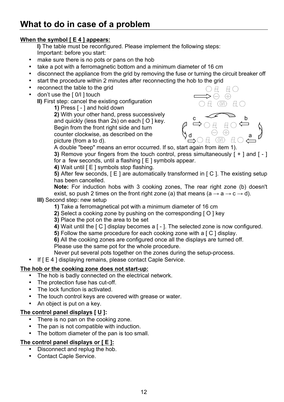#### **When the symbol [ E 4 ] appears:**

**I)** The table must be reconfigured. Please implement the following steps: Important: before you start:

- make sure there is no pots or pans on the hob
- take a pot with a ferromagnetic bottom and a minimum diameter of 16 cm
- disconnect the appliance from the grid by removing the fuse or turning the circuit breaker off
- start the procedure within 2 minutes after reconnecting the hob to the grid
- reconnect the table to the grid
- don't use the [ 0/I ] touch

**II)** First step: cancel the existing configuration

**1)** Press [ - ] and hold down

**2)** With your other hand, press successively and quickly (less than 2s) on each [ O ] key. Begin from the front right side and turn counter clockwise, as described on the picture (from a to d).



A double "beep" means an error occurred. If so, start again from item 1).

**3)** Remove your fingers from the touch control, press simultaneously [ + ] and [ - ] for a few seconds, until a flashing [ E ] symbols appear.

**4)** Wait until [ E ] symbols stop flashing.

**5)** After few seconds, [E] are automatically transformed in [C]. The existing setup has been cancelled.

**Note:** For induction hobs with 3 cooking zones, The rear right zone (b) doesn't exist, so push 2 times on the front right zone (a) that means (a  $\rightarrow$  a  $\rightarrow$  c  $\rightarrow$  d).

**III)** Second step: new setup

- **1)** Take a ferromagnetical pot with a minimum diameter of 16 cm
- **2)** Select a cooking zone by pushing on the corresponding [ O ] key
- **3)** Place the pot on the area to be set
- **4)** Wait until the [ C ] display becomes a [ ]. The selected zone is now configured.
- **5)** Follow the same procedure for each cooking zone with a [C] display.
- **6)** All the cooking zones are configured once all the displays are turned off.

Please use the same pot for the whole procedure.

- Never put several pots together on the zones during the setup-process.
- If  $E = 4$  I displaying remains, please contact Caple Service.

#### **The hob or the cooking zone does not start-up:**

- The hob is badly connected on the electrical network.
- The protection fuse has cut-off.
- The lock function is activated.
- The touch control keys are covered with grease or water.
- An object is put on a key.

#### **The control panel displays [ U ]:**

- There is no pan on the cooking zone.
- The pan is not compatible with induction.
- The bottom diameter of the pan is too small.

#### **The control panel displays or [ E ]:**

- Disconnect and replug the hob.
- Contact Caple Service.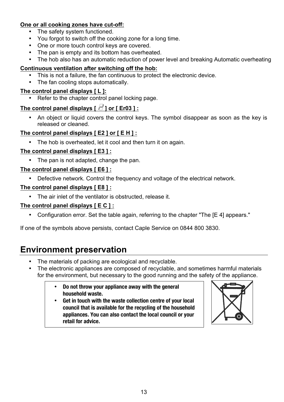#### **One or all cooking zones have cut-off:**

- The safety system functioned.
- You forgot to switch off the cooking zone for a long time.
- One or more touch control keys are covered.
- The pan is empty and its bottom has overheated.
- The hob also has an automatic reduction of power level and breaking Automatic overheating

#### **Continuous ventilation after switching off the hob:**

- This is not a failure, the fan continuous to protect the electronic device.
- The fan cooling stops automatically.

#### **The control panel displays [ L ]:**

Refer to the chapter control panel locking page.

#### The control panel displays  $\lceil \frac{1}{2} \rceil$  or  $\lceil \frac{1}{2} \rceil$  Creasset 1:

• An object or liquid covers the control keys. The symbol disappear as soon as the key is released or cleaned.

#### **The control panel displays [ E2 ] or [ E H ] :**

• The hob is overheated, let it cool and then turn it on again.

#### **The control panel displays [ E3 ] :**

• The pan is not adapted, change the pan.

#### **The control panel displays [ E6 ] :**

• Defective network. Control the frequency and voltage of the electrical network.

#### **The control panel displays [ E8 ] :**

• The air inlet of the ventilator is obstructed, release it.

#### **The control panel displays [ E C ] :**

• Configuration error. Set the table again, referring to the chapter "The [E 4] appears."

If one of the symbols above persists, contact Caple Service on 0844 800 3830.

# **Environment preservation**

- The materials of packing are ecological and recyclable.
- The electronic appliances are composed of recyclable, and sometimes harmful materials for the environment, but necessary to the good running and the safety of the appliance.
	- **Do not throw your appliance away with the general household waste.**
	- **Get in touch with the waste collection centre of your local council that is available for the recycling of the household appliances. You can also contact the local council or your retail for advice.**

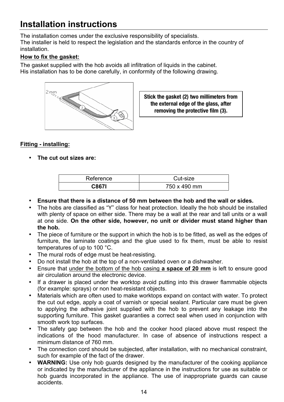# **Installation instructions**

The installation comes under the exclusive responsibility of specialists. The installer is held to respect the legislation and the standards enforce in the country of installation.

#### **How to fix the gasket:**

The gasket supplied with the hob avoids all infiltration of liquids in the cabinet. His installation has to be done carefully, in conformity of the following drawing.



**Stick the gasket (2) two millimeters from the external edge of the glass, after removing the protective film (3).**

#### **Fitting - installing:**

• **The cut out sizes are:**

| Reference | Cut-size     |  |  |
|-----------|--------------|--|--|
| C867I     | 750 x 490 mm |  |  |

- **Ensure that there is a distance of 50 mm between the hob and the wall or sides.**
- The hobs are classified as "Y" class for heat protection. Ideally the hob should be installed with plenty of space on either side. There may be a wall at the rear and tall units or a wall at one side. **On the other side, however, no unit or divider must stand higher than the hob.**
- The piece of furniture or the support in which the hob is to be fitted, as well as the edges of furniture, the laminate coatings and the glue used to fix them, must be able to resist temperatures of up to 100 °C.
- The mural rods of edge must be heat-resisting.
- Do not install the hob at the top of a non-ventilated oven or a dishwasher.
- Ensure that under the bottom of the hob casing **a space of 20 mm** is left to ensure good air circulation around the electronic device.
- If a drawer is placed under the worktop avoid putting into this drawer flammable objects (for example: sprays) or non heat-resistant objects.
- Materials which are often used to make worktops expand on contact with water. To protect the cut out edge, apply a coat of varnish or special sealant. Particular care must be given to applying the adhesive joint supplied with the hob to prevent any leakage into the supporting furniture. This gasket guaranties a correct seal when used in conjunction with smooth work top surfaces.
- The safety gap between the hob and the cooker hood placed above must respect the indications of the hood manufacturer. In case of absence of instructions respect a minimum distance of 760 mm.
- The connection cord should be subjected, after installation, with no mechanical constraint, such for example of the fact of the drawer.
- **WARNING:** Use only hob guards designed by the manufacturer of the cooking appliance or indicated by the manufacturer of the appliance in the instructions for use as suitable or hob guards incorporated in the appliance. The use of inappropriate guards can cause accidents.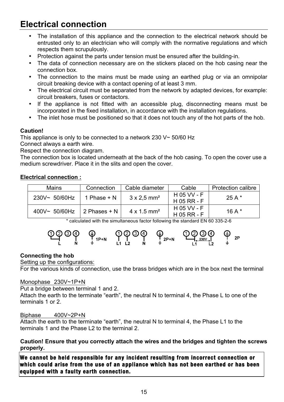# **Electrical connection**

- The installation of this appliance and the connection to the electrical network should be entrusted only to an electrician who will comply with the normative regulations and which respects them scrupulously.
- Protection against the parts under tension must be ensured after the building-in.
- The data of connection necessary are on the stickers placed on the hob casing near the connection box.
- The connection to the mains must be made using an earthed plug or via an omnipolar circuit breaking device with a contact opening of at least 3 mm.
- The electrical circuit must be separated from the network by adapted devices, for example: circuit breakers, fuses or contactors.
- If the appliance is not fitted with an accessible plug, disconnecting means must be incorporated in the fixed installation, in accordance with the installation regulations.
- The inlet hose must be positioned so that it does not touch any of the hot parts of the hob.

#### **Caution!**

This appliance is only to be connected to a network 230 V~ 50/60 Hz

Connect always a earth wire.

Respect the connection diagram.

The connection box is located underneath at the back of the hob casing. To open the cover use a medium screwdriver. Place it in the slits and open the cover.

#### **Electrical connection :**

| <b>Mains</b>     | Connection    | Cable diameter                 | Cable         | <b>Protection calibre</b> |
|------------------|---------------|--------------------------------|---------------|---------------------------|
| 230V~ 50/60Hz    | 1 Phase $+ N$ | $3 \times 2.5$ mm <sup>2</sup> | H 05 VV - F   | 25 A $*$                  |
|                  |               |                                | $H$ 05 RR - F |                           |
| $400V - 50/60Hz$ | 2 Phases + N  | $4 \times 1.5$ mm <sup>2</sup> | H 05 VV - F   | 16 A $*$                  |
|                  |               |                                | $H$ 05 RR - F |                           |

\* calculated with the simultaneous factor following the standard EN 60 335-2-6



#### **Connecting the hob**

#### Setting up the configurations:

For the various kinds of connection, use the brass bridges which are in the box next the terminal

#### Monophase 230V~1P+N

Put a bridge between terminal 1 and 2.

Attach the earth to the terminate "earth", the neutral N to terminal 4, the Phase L to one of the terminals 1 or 2.

#### Biphase 400V~2P+N

Attach the earth to the terminate "earth", the neutral N to terminal 4, the Phase L1 to the terminals 1 and the Phase L2 to the terminal 2.

**Caution! Ensure that you correctly attach the wires and the bridges and tighten the screws properly.**

**We cannot be held responsible for any incident resulting from incorrect connection or which could arise from the use of an appliance which has not been earthed or has been equipped with a faulty earth connection.**